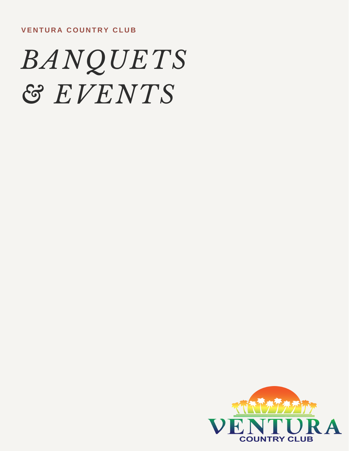

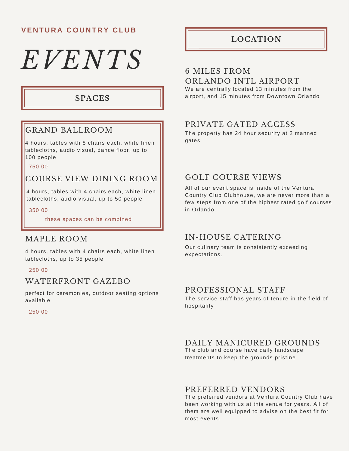# *EVENTS*

### **SPACES**

# GRAND BALLROOM

4 hours, tables with 8 chairs each, white linen tablecloths, audio visual, dance floor, up to 100 people

750.00

# COURSE VIEW DINING ROOM

4 hours, tables with 4 chairs each, white linen tablecloths, audio visual, up to 50 people

350.00

these spaces can be combined

#### MAPLE ROOM

4 hours, tables with 4 chairs each, white linen tablecloths, up to 35 people

250.00

#### WATERFRONT GAZEBO

perfect for ceremonies, outdoor seating options available

250.00

## **LOCATION**

#### 6 MILES FROM ORLANDO INTL AIRPORT

We are centrally located 13 minutes from the airport, and 15 minutes from Downtown Orlando

## PRIVATE GATED ACCESS

The property has 24 hour security at 2 manned gates

# GOLF COURSE VIEWS

All of our event space is inside of the Ventura Country Club Clubhouse, we are never more than a few steps from one of the highest rated golf courses in Orlando.

### IN-HOUSE CATERING

Our culinary team is consistently exceeding expectations.

#### PROFESSIONAL STAFF

The service staff has years of tenure in the field of hospitality

### DAILY MANICURED GROUNDS

The club and course have daily landscape treatments to keep the grounds pristine

#### PREFERRED VENDORS

The preferred vendors at Ventura Country Club have been working with us at this venue for years. All of them are well equipped to advise on the best fit for most events.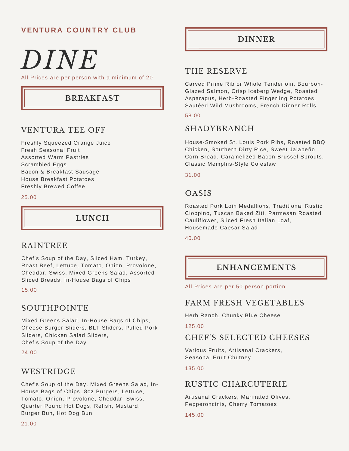# *DINE*

All Prices are per person with a minimum of 20

# **BREAKFAST**

# VENTURA TEE OFF

Freshly Squeezed Orange Juice Fresh Seasonal Fruit Assorted Warm Pastries Scrambled Eggs Bacon & Breakfast Sausage House Breakfast Potatoes Freshly Brewed Coffee

#### 25.00

# **LUNCH**

### RAINTREE

Chef's Soup of the Day, Sliced Ham, Turkey, Roast Beef, Lettuce, Tomato, Onion, Provolone, Cheddar, Swiss, Mixed Greens Salad, Assorted Sliced Breads, In-House Bags of Chips

#### 15.00

# SOUTHPOINTE

Mixed Greens Salad, In-House Bags of Chips, Cheese Burger Sliders, BLT Sliders, Pulled Pork Sliders, Chicken Salad Sliders, Chef's Soup of the Day

24.00

### WESTRIDGE

Chef's Soup of the Day, Mixed Greens Salad, In-House Bags of Chips, 8oz Burgers, Lettuce, Tomato, Onion, Provolone, Cheddar, Swiss, Quarter Pound Hot Dogs, Relish, Mustard, Burger Bun, Hot Dog Bun

#### **DINNER**

### THE RESERVE

Carved Prime Rib or Whole Tenderloin, Bourbon-Glazed Salmon, Crisp Iceberg Wedge, Roasted Asparagus, Herb-Roasted Fingerling Potatoes, Sautéed Wild Mushrooms, French Dinner Rolls

#### 58.00

#### SHADYBRANCH

House-Smoked St. Louis Pork Ribs, Roasted BBQ Chicken, Southern Dirty Rice, Sweet Jalapeño Corn Bread, Caramelized Bacon Brussel Sprouts, Classic Memphis-Style Coleslaw

#### 31.00

#### OASIS

Roasted Pork Loin Medallions, Traditional Rustic Cioppino, Tuscan Baked Ziti, Parmesan Roasted Cauliflower, Sliced Fresh Italian Loaf, Housemade Caesar Salad

#### 40.00

# **ENHANCEMENTS**

All Prices are per 50 person portion

### FARM FRESH VEGETABLES

Herb Ranch, Chunky Blue Cheese

125.00

### CHEF'S SELECTED CHEESES

Various Fruits, Artisanal Crackers, Seasonal Fruit Chutney

#### 135.00

# RUSTIC CHARCUTERIE

Artisanal Crackers, Marinated Olives, Pepperoncinis, Cherry Tomatoes

145.00

21.00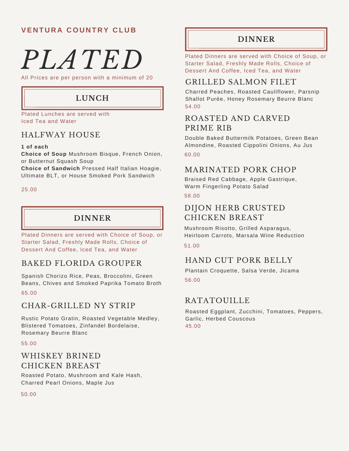# *PLATED*

All Prices are per person with a minimum of 20

# **LUNCH**

Plated Lunches are served with Iced Tea and Water

# HALFWAY HOUSE

#### **1 of each**

**Choice of Soup** Mushroom Bisque, French Onion, or Butternut Squash Soup

**Choice of Sandwich** Pressed Half Italian Hoagie, Ultimate BLT, or House Smoked Pork Sandwich

25.00

# **DINNER**

Plated Dinners are served with Choice of Soup, or Starter Salad, Freshly Made Rolls, Choice of Dessert And Coffee, Iced Tea, and Water

# BAKED FLORIDA GROUPER

Spanish Chorizo Rice, Peas, Broccolini, Green Beans, Chives and Smoked Paprika Tomato Broth 65.00

### CHAR-GRILLED NY STRIP

Rustic Potato Gratin, Roasted Vegetable Medley, Blistered Tomatoes, Zinfandel Bordelaise, Rosemary Beurre Blanc

#### 55.00

# WHISKEY BRINED CHICKEN BREAST

Roasted Potato, Mushroom and Kale Hash, Charred Pearl Onions, Maple Jus

#### 50.00

### **DINNER**

Plated Dinners are served with Choice of Soup, or Starter Salad, Freshly Made Rolls, Choice of Dessert And Coffee, Iced Tea, and Water

### GRILLED SALMON FILET

Charred Peaches, Roasted Cauliflower, Parsnip Shallot Purée, Honey Rosemary Beurre Blanc 54.00

# ROASTED AND CARVED PRIME RIB

Double Baked Buttermilk Potatoes, Green Bean Almondine, Roasted Cippolini Onions, Au Jus 60.00

#### MARINATED PORK CHOP

Braised Red Cabbage, Apple Gastrique, Warm Fingerling Potato Salad 58.00

# DIJON HERB CRUSTED CHICKEN BREAST

Mushroom Risotto, Grilled Asparagus, Heirloom Carrots, Marsala Wine Reduction

#### 51.00

# HAND CUT PORK BELLY

Plantain Croquette, Salsa Verde, Jicama 56.00

### **RATATOUILLE**

Roasted Eggplant, Zucchini, Tomatoes, Peppers, Garlic, Herbed Couscous 45.00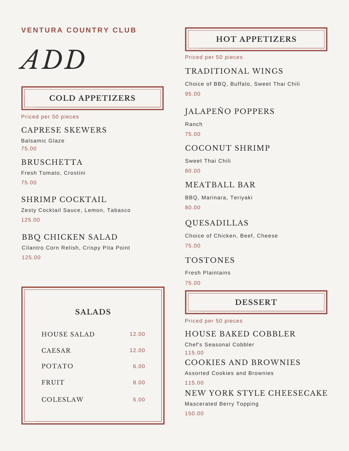# *ADD*

# **COLD APPETIZERS**

Priced per 50 pieces

### CAPRESE SKEWERS

Balsamic Glaze 75.00

### **BRUSCHETTA**

Fresh Tomato, Crostini

75.00

## SHRIMP COCKTAIL

Zesty Cocktail Sauce, Lemon, Tabasco 125.00

# BBQ CHICKEN SALAD

Cilantro Corn Relish, Crispy Pita Point 125.00

| <b>SALADS</b>      |       |  |
|--------------------|-------|--|
| <b>HOUSE SALAD</b> | 12.00 |  |
| <b>CAESAR</b>      | 12.00 |  |
| <b>POTATO</b>      | 6.00  |  |
| <b>FRUIT</b>       | 8.00  |  |
| <b>COLESLAW</b>    | 5.00  |  |
|                    |       |  |

# **HOT APPETIZERS**

Priced per 50 pieces

# TRADITIONAL WINGS

Choice of BBQ, Buffalo, Sweet Thai Chili 95.00

# JALAPEÑO POPPERS

Ranch

75.00

### COCONUT SHRIMP

Sweet Thai Chili 80.00

# MEATBALL BAR

BBQ, Marinara, Teriyaki 80.00

# QUESADILLAS

Choice of Chicken, Beef, Cheese 75.00

# TOSTONES

Fresh Plaintains

75.00

# **DESSERT**

#### Priced per 50 pieces

# HOUSE BAKED COBBLER

Chef's Seasonal Cobbler 115.00

COOKIES AND BROWNIES

Assorted Cookies and Brownies

115.00

NEW YORK STYLE CHEESECAKE

Mascerated Berry Topping

150.00